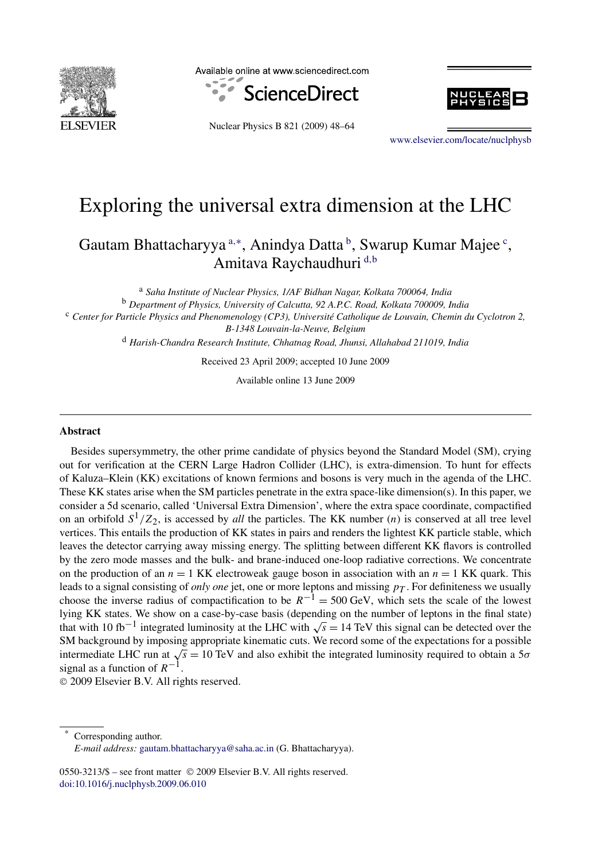

Available online at www.sciencedirect.com







[www.elsevier.com/locate/nuclphysb](http://www.elsevier.com/locate/nuclphysb)

# Exploring the universal extra dimension at the LHC

Gautam Bhattacharyya<sup>a,\*</sup>, Anindya Datta<sup>b</sup>, Swarup Kumar Majee<sup>c</sup>, Amitava Raychaudhuri <sup>d</sup>*,*<sup>b</sup>

<sup>a</sup> *Saha Institute of Nuclear Physics, 1/AF Bidhan Nagar, Kolkata 700064, India* <sup>b</sup> *Department of Physics, University of Calcutta, 92 A.P.C. Road, Kolkata 700009, India* <sup>c</sup> *Center for Particle Physics and Phenomenology (CP3), Université Catholique de Louvain, Chemin du Cyclotron 2, B-1348 Louvain-la-Neuve, Belgium* <sup>d</sup> *Harish-Chandra Research Institute, Chhatnag Road, Jhunsi, Allahabad 211019, India*

Received 23 April 2009; accepted 10 June 2009

Available online 13 June 2009

#### **Abstract**

Besides supersymmetry, the other prime candidate of physics beyond the Standard Model (SM), crying out for verification at the CERN Large Hadron Collider (LHC), is extra-dimension. To hunt for effects of Kaluza–Klein (KK) excitations of known fermions and bosons is very much in the agenda of the LHC. These KK states arise when the SM particles penetrate in the extra space-like dimension(s). In this paper, we consider a 5d scenario, called 'Universal Extra Dimension', where the extra space coordinate, compactified on an orbifold  $S^1/Z_2$ , is accessed by *all* the particles. The KK number (*n*) is conserved at all tree level vertices. This entails the production of KK states in pairs and renders the lightest KK particle stable, which leaves the detector carrying away missing energy. The splitting between different KK flavors is controlled by the zero mode masses and the bulk- and brane-induced one-loop radiative corrections. We concentrate on the production of an  $n = 1$  KK electroweak gauge boson in association with an  $n = 1$  KK quark. This leads to a signal consisting of *only one* jet, one or more leptons and missing *pT* . For definiteness we usually choose the inverse radius of compactification to be  $R^{-1} = 500$  GeV, which sets the scale of the lowest lying KK states. We show on a case-by-case basis (depending on the number of leptons in the final state) that with 10 fb<sup>−1</sup> integrated luminosity at the LHC with  $\sqrt{s}$  = 14 TeV this signal can be detected over the SM background by imposing appropriate kinematic cuts. We record some of the expectations for a possible intermediate LHC run at  $\sqrt{s} = 10$  TeV and also exhibit the integrated luminosity required to obtain a 5*σ* signal as a function of *R*<sup>−</sup>1.

© 2009 Elsevier B.V. All rights reserved.

Corresponding author. *E-mail address:* [gautam.bhattacharyya@saha.ac.in](mailto:gautam.bhattacharyya@saha.ac.in) (G. Bhattacharyya).

0550-3213/\$ – see front matter © 2009 Elsevier B.V. All rights reserved. [doi:10.1016/j.nuclphysb.2009.06.010](http://dx.doi.org/10.1016/j.nuclphysb.2009.06.010)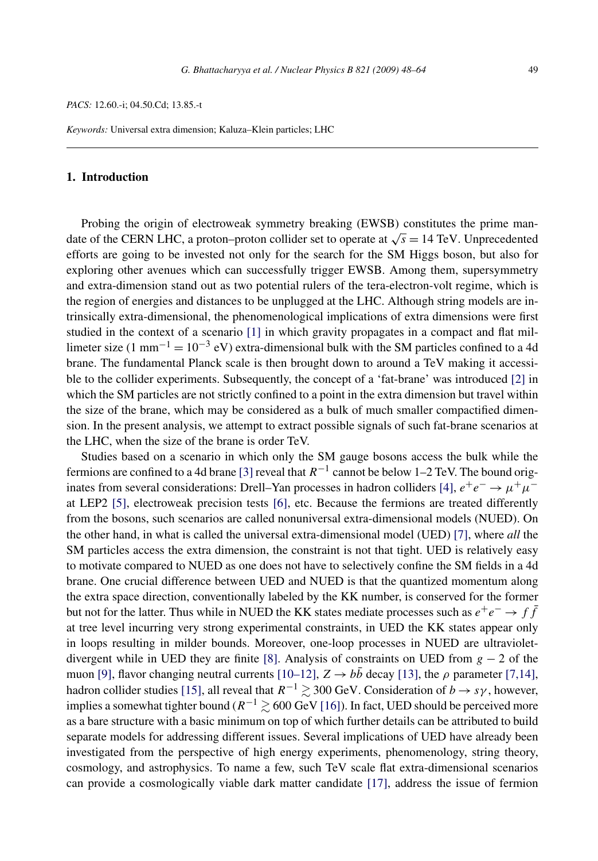*PACS:* 12.60.-i; 04.50.Cd; 13.85.-t

*Keywords:* Universal extra dimension; Kaluza–Klein particles; LHC

# **1. Introduction**

Probing the origin of electroweak symmetry breaking (EWSB) constitutes the prime mandate of the CERN LHC, a proton–proton collider set to operate at  $\sqrt{s} = 14$  TeV. Unprecedented efforts are going to be invested not only for the search for the SM Higgs boson, but also for exploring other avenues which can successfully trigger EWSB. Among them, supersymmetry and extra-dimension stand out as two potential rulers of the tera-electron-volt regime, which is the region of energies and distances to be unplugged at the LHC. Although string models are intrinsically extra-dimensional, the phenomenological implications of extra dimensions were first studied in the context of a scenario [\[1\]](#page-15-0) in which gravity propagates in a compact and flat millimeter size (1 mm<sup>-1</sup> = 10<sup>-3</sup> eV) extra-dimensional bulk with the SM particles confined to a 4d brane. The fundamental Planck scale is then brought down to around a TeV making it accessible to the collider experiments. Subsequently, the concept of a 'fat-brane' was introduced [\[2\]](#page-15-0) in which the SM particles are not strictly confined to a point in the extra dimension but travel within the size of the brane, which may be considered as a bulk of much smaller compactified dimension. In the present analysis, we attempt to extract possible signals of such fat-brane scenarios at the LHC, when the size of the brane is order TeV.

Studies based on a scenario in which only the SM gauge bosons access the bulk while the fermions are confined to a 4d brane [\[3\]](#page-15-0) reveal that  $R^{-1}$  cannot be below 1–2 TeV. The bound orig-inates from several considerations: Drell–Yan processes in hadron colliders [\[4\],](#page-15-0)  $e^+e^- \rightarrow \mu^+\mu^$ at LEP2 [\[5\],](#page-15-0) electroweak precision tests [\[6\],](#page-15-0) etc. Because the fermions are treated differently from the bosons, such scenarios are called nonuniversal extra-dimensional models (NUED). On the other hand, in what is called the universal extra-dimensional model (UED) [\[7\],](#page-15-0) where *all* the SM particles access the extra dimension, the constraint is not that tight. UED is relatively easy to motivate compared to NUED as one does not have to selectively confine the SM fields in a 4d brane. One crucial difference between UED and NUED is that the quantized momentum along the extra space direction, conventionally labeled by the KK number, is conserved for the former but not for the latter. Thus while in NUED the KK states mediate processes such as  $e^+e^- \rightarrow f\bar{f}$ at tree level incurring very strong experimental constraints, in UED the KK states appear only in loops resulting in milder bounds. Moreover, one-loop processes in NUED are ultraviolet-divergent while in UED they are finite [\[8\].](#page-15-0) Analysis of constraints on UED from  $g - 2$  of the muon [\[9\],](#page-15-0) flavor changing neutral currents [\[10–12\],](#page-15-0)  $Z \rightarrow b\bar{b}$  decay [\[13\],](#page-15-0) the  $\rho$  parameter [\[7,14\],](#page-15-0) hadron collider studies [\[15\],](#page-15-0) all reveal that  $R^{-1} \gtrsim 300$  GeV. Consideration of  $b \to s\gamma$ , however, implies a somewhat tighter bound ( $R^{-1} \gtrsim 600$  GeV [\[16\]\)](#page-15-0). In fact, UED should be perceived more as a bare structure with a basic minimum on top of which further details can be attributed to build separate models for addressing different issues. Several implications of UED have already been investigated from the perspective of high energy experiments, phenomenology, string theory, cosmology, and astrophysics. To name a few, such TeV scale flat extra-dimensional scenarios can provide a cosmologically viable dark matter candidate [\[17\],](#page-15-0) address the issue of fermion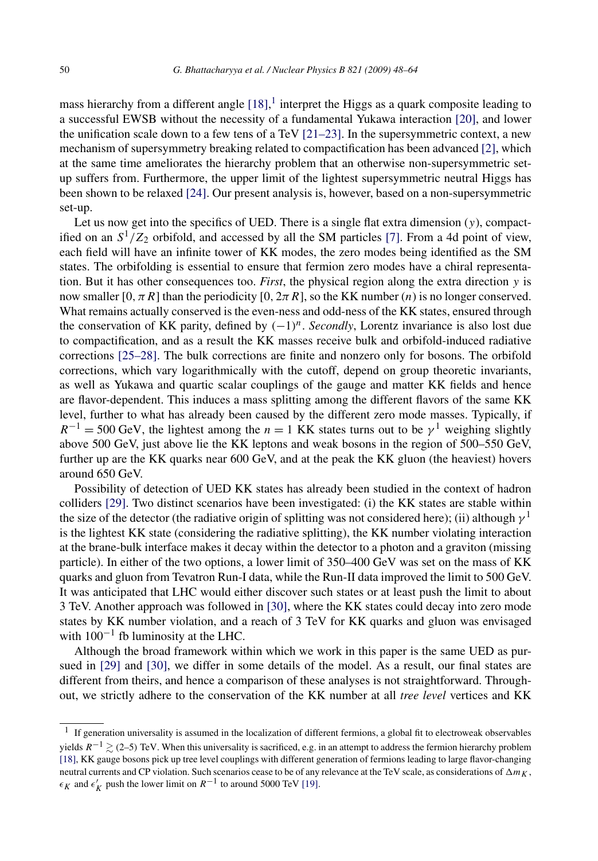mass hierarchy from a different angle [\[18\],](#page-15-0)<sup>1</sup> interpret the Higgs as a quark composite leading to a successful EWSB without the necessity of a fundamental Yukawa interaction [\[20\],](#page-15-0) and lower the unification scale down to a few tens of a TeV  $[21-23]$ . In the supersymmetric context, a new mechanism of supersymmetry breaking related to compactification has been advanced [\[2\],](#page-15-0) which at the same time ameliorates the hierarchy problem that an otherwise non-supersymmetric setup suffers from. Furthermore, the upper limit of the lightest supersymmetric neutral Higgs has been shown to be relaxed [\[24\].](#page-15-0) Our present analysis is, however, based on a non-supersymmetric set-up.

Let us now get into the specifics of UED. There is a single flat extra dimension  $(y)$ , compactified on an  $S^1/Z_2$  orbifold, and accessed by all the SM particles [\[7\].](#page-15-0) From a 4d point of view, each field will have an infinite tower of KK modes, the zero modes being identified as the SM states. The orbifolding is essential to ensure that fermion zero modes have a chiral representation. But it has other consequences too. *First*, the physical region along the extra direction *y* is now smaller  $[0, \pi R]$  than the periodicity  $[0, 2\pi R]$ , so the KK number  $(n)$  is no longer conserved. What remains actually conserved is the even-ness and odd-ness of the KK states, ensured through the conservation of KK parity, defined by  $(-1)^n$ . *Secondly*, Lorentz invariance is also lost due to compactification, and as a result the KK masses receive bulk and orbifold-induced radiative corrections [\[25–28\].](#page-15-0) The bulk corrections are finite and nonzero only for bosons. The orbifold corrections, which vary logarithmically with the cutoff, depend on group theoretic invariants, as well as Yukawa and quartic scalar couplings of the gauge and matter KK fields and hence are flavor-dependent. This induces a mass splitting among the different flavors of the same KK level, further to what has already been caused by the different zero mode masses. Typically, if  $R^{-1}$  = 500 GeV, the lightest among the *n* = 1 KK states turns out to be *γ*<sup>1</sup> weighing slightly above 500 GeV, just above lie the KK leptons and weak bosons in the region of 500–550 GeV, further up are the KK quarks near 600 GeV, and at the peak the KK gluon (the heaviest) hovers around 650 GeV.

Possibility of detection of UED KK states has already been studied in the context of hadron colliders [\[29\].](#page-16-0) Two distinct scenarios have been investigated: (i) the KK states are stable within the size of the detector (the radiative origin of splitting was not considered here); (ii) although  $\gamma^1$ is the lightest KK state (considering the radiative splitting), the KK number violating interaction at the brane-bulk interface makes it decay within the detector to a photon and a graviton (missing particle). In either of the two options, a lower limit of 350–400 GeV was set on the mass of KK quarks and gluon from Tevatron Run-I data, while the Run-II data improved the limit to 500 GeV. It was anticipated that LHC would either discover such states or at least push the limit to about 3 TeV. Another approach was followed in [\[30\],](#page-16-0) where the KK states could decay into zero mode states by KK number violation, and a reach of 3 TeV for KK quarks and gluon was envisaged with  $100^{-1}$  fb luminosity at the LHC.

Although the broad framework within which we work in this paper is the same UED as pursued in [\[29\]](#page-16-0) and [\[30\],](#page-16-0) we differ in some details of the model. As a result, our final states are different from theirs, and hence a comparison of these analyses is not straightforward. Throughout, we strictly adhere to the conservation of the KK number at all *tree level* vertices and KK

 $<sup>1</sup>$  If generation universality is assumed in the localization of different fermions, a global fit to electroweak observables</sup> yields  $R^{-1}$   $\gtrsim$  (2–5) TeV. When this universality is sacrificed, e.g. in an attempt to address the fermion hierarchy problem [\[18\],](#page-15-0) KK gauge bosons pick up tree level couplings with different generation of fermions leading to large flavor-changing neutral currents and CP violation. Such scenarios cease to be of any relevance at the TeV scale, as considerations of  $\Delta m_K$ ,  $\epsilon_K$  and  $\epsilon_K'$  push the lower limit on  $R^{-1}$  to around 5000 TeV [\[19\].](#page-15-0)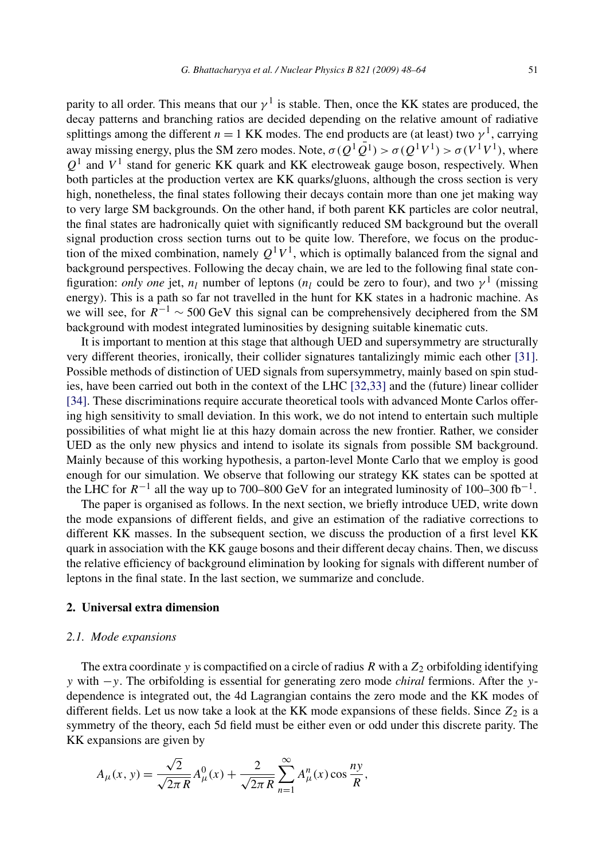parity to all order. This means that our  $\gamma^1$  is stable. Then, once the KK states are produced, the decay patterns and branching ratios are decided depending on the relative amount of radiative splittings among the different  $n = 1$  KK modes. The end products are (at least) two  $\gamma^1$ , carrying away missing energy, plus the SM zero modes. Note,  $\sigma(Q^1\overline{Q}^1) > \sigma(Q^1V^1) > \sigma(V^1V^1)$ , where  $Q<sup>1</sup>$  and  $V<sup>1</sup>$  stand for generic KK quark and KK electroweak gauge boson, respectively. When both particles at the production vertex are KK quarks/gluons, although the cross section is very high, nonetheless, the final states following their decays contain more than one jet making way to very large SM backgrounds. On the other hand, if both parent KK particles are color neutral, the final states are hadronically quiet with significantly reduced SM background but the overall signal production cross section turns out to be quite low. Therefore, we focus on the production of the mixed combination, namely  $O<sup>1</sup>V<sup>1</sup>$ , which is optimally balanced from the signal and background perspectives. Following the decay chain, we are led to the following final state configuration: *only one* jet,  $n_l$  number of leptons ( $n_l$  could be zero to four), and two  $\gamma^1$  (missing energy). This is a path so far not travelled in the hunt for KK states in a hadronic machine. As we will see, for  $R^{-1}$  ~ 500 GeV this signal can be comprehensively deciphered from the SM background with modest integrated luminosities by designing suitable kinematic cuts.

It is important to mention at this stage that although UED and supersymmetry are structurally very different theories, ironically, their collider signatures tantalizingly mimic each other [\[31\].](#page-16-0) Possible methods of distinction of UED signals from supersymmetry, mainly based on spin studies, have been carried out both in the context of the LHC [\[32,33\]](#page-16-0) and the (future) linear collider [\[34\].](#page-16-0) These discriminations require accurate theoretical tools with advanced Monte Carlos offering high sensitivity to small deviation. In this work, we do not intend to entertain such multiple possibilities of what might lie at this hazy domain across the new frontier. Rather, we consider UED as the only new physics and intend to isolate its signals from possible SM background. Mainly because of this working hypothesis, a parton-level Monte Carlo that we employ is good enough for our simulation. We observe that following our strategy KK states can be spotted at the LHC for  $R^{-1}$  all the way up to 700–800 GeV for an integrated luminosity of 100–300 fb<sup>-1</sup>.

The paper is organised as follows. In the next section, we briefly introduce UED, write down the mode expansions of different fields, and give an estimation of the radiative corrections to different KK masses. In the subsequent section, we discuss the production of a first level KK quark in association with the KK gauge bosons and their different decay chains. Then, we discuss the relative efficiency of background elimination by looking for signals with different number of leptons in the final state. In the last section, we summarize and conclude.

# **2. Universal extra dimension**

#### *2.1. Mode expansions*

The extra coordinate  $y$  is compactified on a circle of radius  $R$  with a  $Z_2$  orbifolding identifying *y* with −*y*. The orbifolding is essential for generating zero mode *chiral* fermions. After the *y*dependence is integrated out, the 4d Lagrangian contains the zero mode and the KK modes of different fields. Let us now take a look at the KK mode expansions of these fields. Since  $Z_2$  is a symmetry of the theory, each 5d field must be either even or odd under this discrete parity. The KK expansions are given by

$$
A_{\mu}(x, y) = \frac{\sqrt{2}}{\sqrt{2\pi R}} A_{\mu}^{0}(x) + \frac{2}{\sqrt{2\pi R}} \sum_{n=1}^{\infty} A_{\mu}^{n}(x) \cos \frac{ny}{R},
$$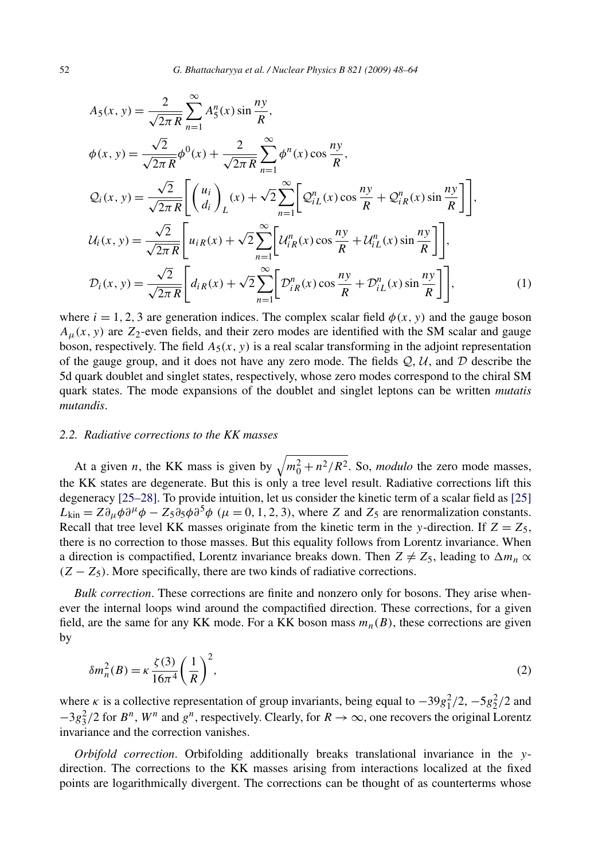$$
A_5(x, y) = \frac{2}{\sqrt{2\pi R}} \sum_{n=1}^{\infty} A_5^n(x) \sin \frac{ny}{R},
$$
  
\n
$$
\phi(x, y) = \frac{\sqrt{2}}{\sqrt{2\pi R}} \phi^0(x) + \frac{2}{\sqrt{2\pi R}} \sum_{n=1}^{\infty} \phi^n(x) \cos \frac{ny}{R},
$$
  
\n
$$
Q_i(x, y) = \frac{\sqrt{2}}{\sqrt{2\pi R}} \left[ \left( \frac{u_i}{d_i} \right)_L (x) + \sqrt{2} \sum_{n=1}^{\infty} \left[ \mathcal{Q}_{iL}^n(x) \cos \frac{ny}{R} + \mathcal{Q}_{iR}^n(x) \sin \frac{ny}{R} \right] \right],
$$
  
\n
$$
U_i(x, y) = \frac{\sqrt{2}}{\sqrt{2\pi R}} \left[ u_{iR}(x) + \sqrt{2} \sum_{n=1}^{\infty} \left[ U_{iR}^n(x) \cos \frac{ny}{R} + U_{iL}^n(x) \sin \frac{ny}{R} \right] \right],
$$
  
\n
$$
\mathcal{D}_i(x, y) = \frac{\sqrt{2}}{\sqrt{2\pi R}} \left[ d_{iR}(x) + \sqrt{2} \sum_{n=1}^{\infty} \left[ \mathcal{D}_{iR}^n(x) \cos \frac{ny}{R} + \mathcal{D}_{iL}^n(x) \sin \frac{ny}{R} \right] \right],
$$
  
\n(1)

where  $i = 1, 2, 3$  are generation indices. The complex scalar field  $\phi(x, y)$  and the gauge boson  $A_{\mu}(x, y)$  are  $Z_2$ -even fields, and their zero modes are identified with the SM scalar and gauge boson, respectively. The field  $A_5(x, y)$  is a real scalar transforming in the adjoint representation of the gauge group, and it does not have any zero mode. The fields  $Q, U$ , and  $D$  describe the 5d quark doublet and singlet states, respectively, whose zero modes correspond to the chiral SM quark states. The mode expansions of the doublet and singlet leptons can be written *mutatis mutandis*.

## *2.2. Radiative corrections to the KK masses*

At a given *n*, the KK mass is given by  $\sqrt{m_0^2 + n^2/R^2}$ . So, *modulo* the zero mode masses, the KK states are degenerate. But this is only a tree level result. Radiative corrections lift this degeneracy [\[25–28\].](#page-15-0) To provide intuition, let us consider the kinetic term of a scalar field as [\[25\]](#page-15-0)  $L_{\text{kin}} = Z \partial_{\mu} \phi \partial^{\mu} \phi - Z_5 \partial_5 \phi \partial^5 \phi$  ( $\mu = 0, 1, 2, 3$ ), where *Z* and *Z*<sub>5</sub> are renormalization constants. Recall that tree level KK masses originate from the kinetic term in the *y*-direction. If  $Z = Z_5$ , there is no correction to those masses. But this equality follows from Lorentz invariance. When a direction is compactified, Lorentz invariance breaks down. Then  $Z \neq Z_5$ , leading to  $\Delta m_n \propto$  $(Z - Z_5)$ . More specifically, there are two kinds of radiative corrections.

*Bulk correction*. These corrections are finite and nonzero only for bosons. They arise whenever the internal loops wind around the compactified direction. These corrections, for a given field, are the same for any KK mode. For a KK boson mass  $m_n(B)$ , these corrections are given by

$$
\delta m_n^2(B) = \kappa \frac{\zeta(3)}{16\pi^4} \left(\frac{1}{R}\right)^2,\tag{2}
$$

where *κ* is a collective representation of group invariants, being equal to  $-39g_1^2/2$ ,  $-5g_2^2/2$  and  $-3g_3^2/2$  for *B<sup>n</sup>*, *W<sup>n</sup>* and *g<sup>n</sup>*, respectively. Clearly, for  $R \to \infty$ , one recovers the original Lorentz invariance and the correction vanishes.

*Orbifold correction*. Orbifolding additionally breaks translational invariance in the *y*direction. The corrections to the KK masses arising from interactions localized at the fixed points are logarithmically divergent. The corrections can be thought of as counterterms whose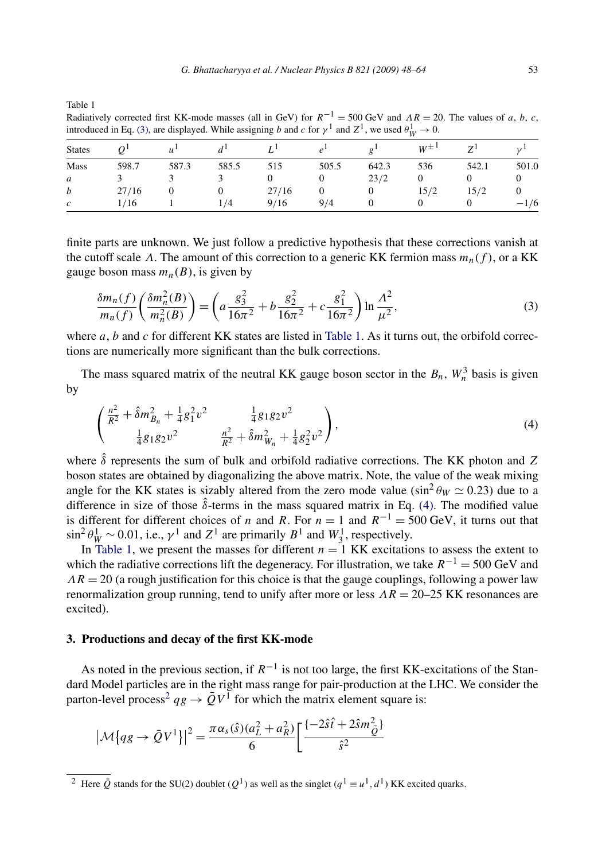Table 1 Radiatively corrected first KK-mode masses (all in GeV) for  $R^{-1} = 500$  GeV and  $\Lambda R = 20$ . The values of *a*, *b*, *c*, introduced in Eq. (3), are displayed. While assigning *b* and *c* for  $\gamma^1$  and  $Z^1$ , we used  $\theta^1_W \to 0$ .

|               | .     |                  |       |       |       |       |                        |       |        |
|---------------|-------|------------------|-------|-------|-------|-------|------------------------|-------|--------|
| <b>States</b> |       | $\boldsymbol{u}$ |       |       |       |       | $W^{\pm}$ <sup>1</sup> | 71    |        |
| <b>Mass</b>   | 598.7 | 587.3            | 585.5 | 515   | 505.5 | 642.3 | 536                    | 542.1 | 501.0  |
| a             |       |                  |       |       |       | 23/2  |                        |       |        |
| b             | 27/16 |                  |       | 27/16 |       |       | 15/2                   | 15/2  |        |
| $\mathcal{C}$ | 1/16  |                  | /4    | 9/16  | 9/4   |       |                        |       | $-1/6$ |

finite parts are unknown. We just follow a predictive hypothesis that these corrections vanish at the cutoff scale  $\Lambda$ . The amount of this correction to a generic KK fermion mass  $m_n(f)$ , or a KK gauge boson mass  $m_n(B)$ , is given by

$$
\frac{\delta m_n(f)}{m_n(f)} \left( \frac{\delta m_n^2(B)}{m_n^2(B)} \right) = \left( a \frac{g_3^2}{16\pi^2} + b \frac{g_2^2}{16\pi^2} + c \frac{g_1^2}{16\pi^2} \right) \ln \frac{\Lambda^2}{\mu^2},\tag{3}
$$

where *a*, *b* and *c* for different KK states are listed in Table 1. As it turns out, the orbifold corrections are numerically more significant than the bulk corrections.

The mass squared matrix of the neutral KK gauge boson sector in the  $B_n$ ,  $W_n^3$  basis is given by

$$
\begin{pmatrix}\n\frac{n^2}{R^2} + \hat{\delta}m_{B_n}^2 + \frac{1}{4}g_1^2v^2 & \frac{1}{4}g_1g_2v^2 \\
\frac{1}{4}g_1g_2v^2 & \frac{n^2}{R^2} + \hat{\delta}m_{W_n}^2 + \frac{1}{4}g_2^2v^2\n\end{pmatrix},
$$
\n(4)

where  $\hat{\delta}$  represents the sum of bulk and orbifold radiative corrections. The KK photon and Z boson states are obtained by diagonalizing the above matrix. Note, the value of the weak mixing angle for the KK states is sizably altered from the zero mode value ( $\sin^2 \theta_W \simeq 0.23$ ) due to a difference in size of those  $\hat{\delta}$ -terms in the mass squared matrix in Eq. (4). The modified value is different for different choices of *n* and *R*. For  $n = 1$  and  $R^{-1} = 500 \text{ GeV}$ , it turns out that  $\sin^2 \theta_W^1 \sim 0.01$ , i.e.,  $\gamma^1$  and  $Z^1$  are primarily  $B^1$  and  $W_3^1$ , respectively.

In Table 1, we present the masses for different  $n = 1$  KK excitations to assess the extent to which the radiative corrections lift the degeneracy. For illustration, we take *R*−<sup>1</sup> = 500 GeV and  $\Lambda R = 20$  (a rough justification for this choice is that the gauge couplings, following a power law renormalization group running, tend to unify after more or less  $\Lambda R = 20-25$  KK resonances are excited).

# **3. Productions and decay of the first KK-mode**

As noted in the previous section, if *R*−<sup>1</sup> is not too large, the first KK-excitations of the Standard Model particles are in the right mass range for pair-production at the LHC. We consider the parton-level process<sup>2</sup>  $qg \rightarrow \bar{Q}V^{\bar{1}}$  for which the matrix element square is:

$$
|\mathcal{M}\{qg \to \bar{Q}V^{1}\}|^{2} = \frac{\pi \alpha_{s}(\hat{s})(a_{L}^{2} + a_{R}^{2})}{6} \left[ \frac{\{-2\hat{s}\hat{t} + 2\hat{s}m\frac{2}{\hat{Q}}\}}{\hat{s}^{2}} \right]
$$

<sup>&</sup>lt;sup>2</sup> Here  $\overline{Q}$  stands for the SU(2) doublet ( $Q^1$ ) as well as the singlet ( $q^1 \equiv u^1, d^1$ ) KK excited quarks.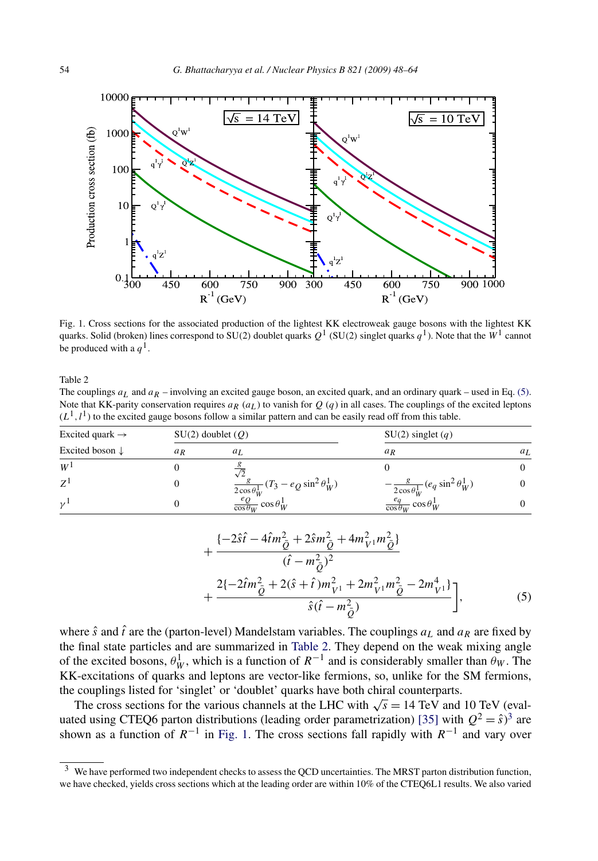

Fig. 1. Cross sections for the associated production of the lightest KK electroweak gauge bosons with the lightest KK quarks. Solid (broken) lines correspond to SU(2) doublet quarks  $Q^1$  (SU(2) singlet quarks  $q^1$ ). Note that the  $W^1$  cannot be produced with a  $q<sup>1</sup>$ .

The couplings  $a_L$  and  $a_R$  – involving an excited gauge boson, an excited quark, and an ordinary quark – used in Eq. (5). Note that KK-parity conservation requires  $a_R(a_L)$  to vanish for  $Q(q)$  in all cases. The couplings of the excited leptons  $(L^1, l^1)$  to the excited gauge bosons follow a similar pattern and can be easily read off from this table.

| Excited quark $\rightarrow$ | $SU(2)$ doublet $(Q)$ |                                                        | $SU(2)$ singlet $(q)$                             |       |  |
|-----------------------------|-----------------------|--------------------------------------------------------|---------------------------------------------------|-------|--|
| Excited boson $\downarrow$  | a R                   | $a_L$                                                  | $a_R$                                             | $a_L$ |  |
| W <sup>1</sup>              |                       |                                                        |                                                   |       |  |
| $Z^1$                       |                       | $\frac{g}{2\cos\theta_W^1}(T_3 - e_Q\sin^2\theta_W^1)$ | $-\frac{8}{2\cos\theta_W^1}(e_q\sin^2\theta_W^1)$ |       |  |
| $\gamma^1$                  |                       | $\frac{e_Q}{\cos \theta_W} \cos \theta_W^1$            | $\frac{e_q}{\cos \theta_W} \cos \theta_W^1$       |       |  |

$$
+\frac{\{-2\hat{s}\hat{t}-4\hat{t}m_{\tilde{Q}}^2+2\hat{s}m_{\tilde{Q}}^2+4m_{V^1}^2m_{\tilde{Q}}^2\}}{(\hat{t}-m_{\tilde{Q}}^2)^2} +\frac{2\{-2\hat{t}m_{\tilde{Q}}^2+2(\hat{s}+\hat{t})m_{V^1}^2+2m_{V^1}^2m_{\tilde{Q}}^2-2m_{V^1}^4\}}{\hat{s}(\hat{t}-m_{\tilde{Q}}^2)}\bigg],
$$
(5)

where  $\hat{s}$  and  $\hat{t}$  are the (parton-level) Mandelstam variables. The couplings  $a_L$  and  $a_R$  are fixed by the final state particles and are summarized in Table 2. They depend on the weak mixing angle of the excited bosons,  $\theta_W^1$ , which is a function of  $R^{-1}$  and is considerably smaller than  $\theta_W$ . The KK-excitations of quarks and leptons are vector-like fermions, so, unlike for the SM fermions, the couplings listed for 'singlet' or 'doublet' quarks have both chiral counterparts.

The cross sections for the various channels at the LHC with  $\sqrt{s} = 14$  TeV and 10 TeV (eval-uated using CTEQ6 parton distributions (leading order parametrization) [\[35\]](#page-16-0) with  $Q^2 = \hat{s}$ )<sup>3</sup> are shown as a function of *R*−<sup>1</sup> in Fig. 1. The cross sections fall rapidly with *R*−<sup>1</sup> and vary over

<sup>&</sup>lt;sup>3</sup> We have performed two independent checks to assess the QCD uncertainties. The MRST parton distribution function, we have checked, yields cross sections which at the leading order are within 10% of the CTEQ6L1 results. We also varied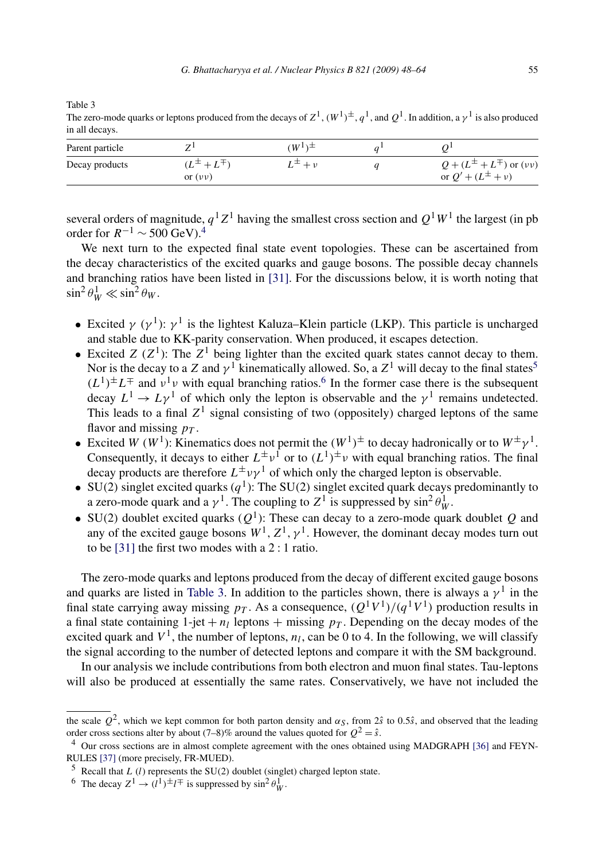<span id="page-7-0"></span>The zero-mode quarks or leptons produced from the decays of  $Z^1$ ,  $(W^1)^{\pm}$ ,  $q^1$ , and  $Q^1$ . In addition, a  $\gamma^1$  is also produced in all decays.

| Parent particle |                                  | $(W^{\perp})^{\pm}$ |                                                                       |
|-----------------|----------------------------------|---------------------|-----------------------------------------------------------------------|
| Decay products  | $(L^{\pm}+L^{\mp})$<br>or $(vv)$ |                     | $Q + (L^{\pm} + L^{\mp})$ or $(\nu \nu)$<br>or $Q' + (L^{\pm} + \nu)$ |

several orders of magnitude,  $q^1Z^1$  having the smallest cross section and  $Q^1W^1$  the largest (in pb order for  $R^{-1} \sim 500$  GeV).<sup>4</sup>

We next turn to the expected final state event topologies. These can be ascertained from the decay characteristics of the excited quarks and gauge bosons. The possible decay channels and branching ratios have been listed in [\[31\].](#page-16-0) For the discussions below, it is worth noting that  $\sin^2 \theta_W^1 \ll \sin^2 \theta_W$ .

- Excited  $\gamma$  ( $\gamma^1$ ):  $\gamma^1$  is the lightest Kaluza–Klein particle (LKP). This particle is uncharged and stable due to KK-parity conservation. When produced, it escapes detection.
- Excited *Z* ( $Z^1$ ): The  $Z^1$  being lighter than the excited quark states cannot decay to them. Nor is the decay to a *Z* and  $\gamma^1$  kinematically allowed. So, a *Z*<sup>1</sup> will decay to the final states<sup>5</sup>  $(L<sup>1</sup>)<sup>±</sup>L<sup>⊓</sup>$  and  $v<sup>1</sup>v$  with equal branching ratios.<sup>6</sup> In the former case there is the subsequent decay  $L^1 \rightarrow L\gamma^1$  of which only the lepton is observable and the  $\gamma^1$  remains undetected. This leads to a final  $Z^1$  signal consisting of two (oppositely) charged leptons of the same flavor and missing *pT* .
- Excited *W* (*W*<sup>1</sup>): Kinematics does not permit the  $(W^1)^{\pm}$  to decay hadronically or to  $W^{\pm}y^1$ . Consequently, it decays to either  $L^{\pm}v^{\hat{1}}$  or to  $(L^{\hat{1}})^{\pm}v$  with equal branching ratios. The final decay products are therefore  $L^{\pm} v \gamma^1$  of which only the charged lepton is observable.
- SU(2) singlet excited quarks  $(q^1)$ : The SU(2) singlet excited quark decays predominantly to a zero-mode quark and a  $\gamma^1$ . The coupling to  $Z^1$  is suppressed by  $\sin^2 \theta_W^1$ .
- SU(2) doublet excited quarks  $(O^1)$ : These can decay to a zero-mode quark doublet O and any of the excited gauge bosons  $W^1$ ,  $Z^1$ ,  $\gamma^1$ . However, the dominant decay modes turn out to be [\[31\]](#page-16-0) the first two modes with a 2 : 1 ratio.

The zero-mode quarks and leptons produced from the decay of different excited gauge bosons and quarks are listed in Table 3. In addition to the particles shown, there is always a  $\gamma^1$  in the final state carrying away missing  $p_T$ . As a consequence,  $(Q^1V^1)/(q^1V^1)$  production results in a final state containing  $1$ -jet +  $n_l$  leptons + missing  $p_T$ . Depending on the decay modes of the excited quark and  $V^1$ , the number of leptons,  $n_l$ , can be 0 to 4. In the following, we will classify the signal according to the number of detected leptons and compare it with the SM background.

In our analysis we include contributions from both electron and muon final states. Tau-leptons will also be produced at essentially the same rates. Conservatively, we have not included the

the scale  $Q^2$ , which we kept common for both parton density and  $\alpha_S$ , from 2*s*<sup> $\dot{S}$ </sup>, and observed that the leading order cross sections alter by about (7–8)% around the values quoted for  $Q^2 = \hat{s}$ .

<sup>4</sup> Our cross sections are in almost complete agreement with the ones obtained using MADGRAPH [\[36\]](#page-16-0) and FEYN-RULES [\[37\]](#page-16-0) (more precisely, FR-MUED).

<sup>5</sup> Recall that *L* (*l*) represents the SU*(*2*)* doublet (singlet) charged lepton state.

<sup>&</sup>lt;sup>6</sup> The decay  $Z^1 \rightarrow (l^1)^{\pm} l^{\mp}$  is suppressed by  $\sin^2 \theta_W^1$ .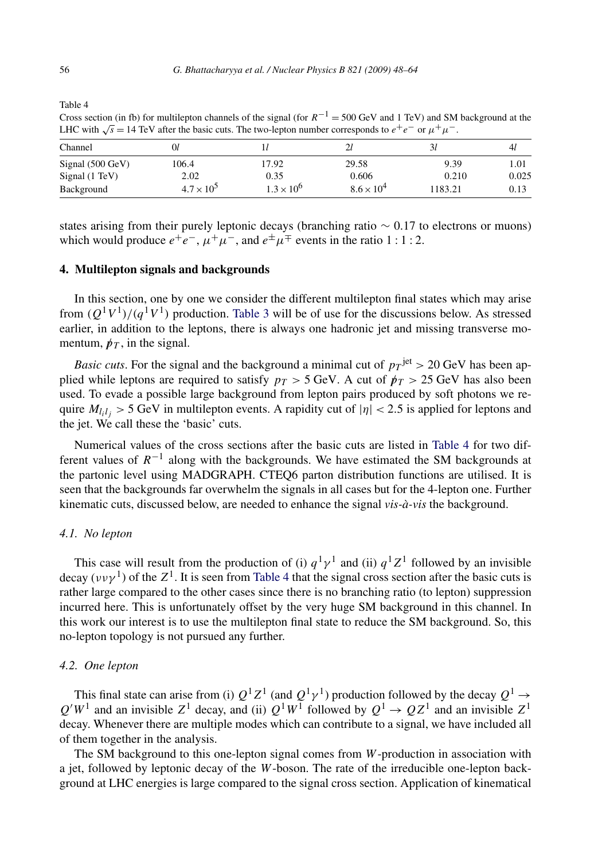Cross section (in fb) for multilepton channels of the signal (for  $R^{-1} = 500 \text{ GeV}$  and 1 TeV) and SM background at the LHC with  $\sqrt{s}$  = 14 TeV after the basic cuts. The two-lepton number corresponds to  $e^+e^-$  or  $\mu^+\mu^-$ .

| Channel                    | 01                |                     |                     |         | 41    |
|----------------------------|-------------------|---------------------|---------------------|---------|-------|
| Signal $(500 \text{ GeV})$ | 106.4             | 17.92               | 29.58               | 9.39    | 1.01  |
| Signal (1 TeV)             | 2.02              | 0.35                | 0.606               | 0.210   | 0.025 |
| Background                 | $4.7 \times 10^5$ | $1.3 \times 10^{6}$ | $8.6 \times 10^{4}$ | 1183.21 | 0.13  |

states arising from their purely leptonic decays (branching ratio  $\sim 0.17$  to electrons or muons) which would produce  $e^+e^-$ ,  $\mu^+\mu^-$ , and  $e^{\pm}\mu^{\mp}$  events in the ratio 1 : 1 : 2.

## **4. Multilepton signals and backgrounds**

In this section, one by one we consider the different multilepton final states which may arise from  $(Q^1V^1)/(q^1V^1)$  production. [Table 3](#page-7-0) will be of use for the discussions below. As stressed earlier, in addition to the leptons, there is always one hadronic jet and missing transverse momentum,  $p_T$ , in the signal.

*Basic cuts.* For the signal and the background a minimal cut of  $p_T$  jet  $> 20$  GeV has been applied while leptons are required to satisfy  $p_T > 5$  GeV. A cut of  $p_T > 25$  GeV has also been used. To evade a possible large background from lepton pairs produced by soft photons we require  $M_{l_i l_i}$  > 5 GeV in multilepton events. A rapidity cut of  $|\eta|$  < 2.5 is applied for leptons and the jet. We call these the 'basic' cuts.

Numerical values of the cross sections after the basic cuts are listed in Table 4 for two different values of  $R^{-1}$  along with the backgrounds. We have estimated the SM backgrounds at the partonic level using MADGRAPH. CTEQ6 parton distribution functions are utilised. It is seen that the backgrounds far overwhelm the signals in all cases but for the 4-lepton one. Further kinematic cuts, discussed below, are needed to enhance the signal *vis-à-vis* the background.

#### *4.1. No lepton*

This case will result from the production of (i)  $q^{1}\gamma^{1}$  and (ii)  $q^{1}Z^{1}$  followed by an invisible decay  $(vv^1)$  of the  $Z^1$ . It is seen from Table 4 that the signal cross section after the basic cuts is rather large compared to the other cases since there is no branching ratio (to lepton) suppression incurred here. This is unfortunately offset by the very huge SM background in this channel. In this work our interest is to use the multilepton final state to reduce the SM background. So, this no-lepton topology is not pursued any further.

# *4.2. One lepton*

This final state can arise from (i)  $Q^1Z^1$  (and  $Q^1\gamma^1$ ) production followed by the decay  $Q^1 \rightarrow$  $Q^{\prime}W^1$  and an invisible  $Z^1$  decay, and (ii)  $Q^1W^1$  followed by  $Q^1 \rightarrow QZ^1$  and an invisible  $Z^1$ decay. Whenever there are multiple modes which can contribute to a signal, we have included all of them together in the analysis.

The SM background to this one-lepton signal comes from *W*-production in association with a jet, followed by leptonic decay of the *W*-boson. The rate of the irreducible one-lepton background at LHC energies is large compared to the signal cross section. Application of kinematical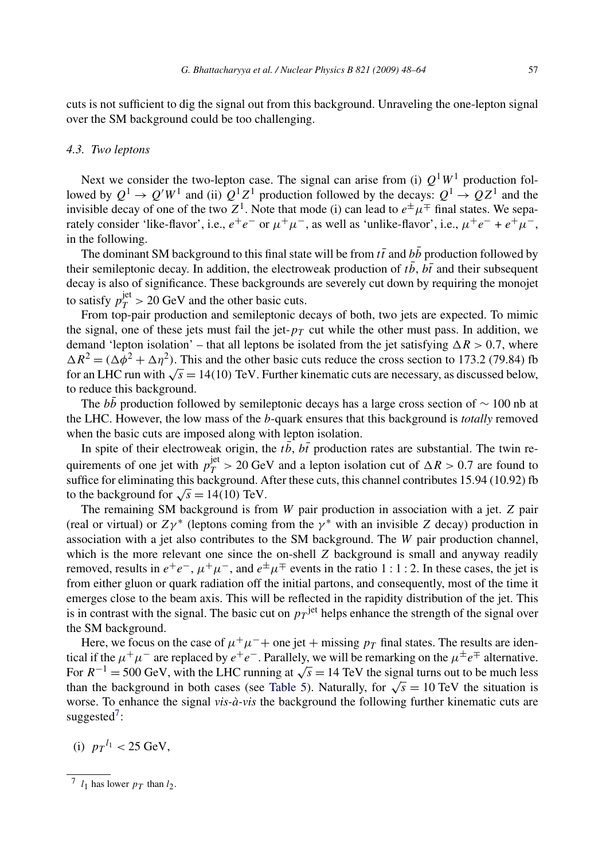cuts is not sufficient to dig the signal out from this background. Unraveling the one-lepton signal over the SM background could be too challenging.

### *4.3. Two leptons*

Next we consider the two-lepton case. The signal can arise from (i)  $Q^1W^1$  production followed by  $Q^1 \rightarrow Q'W^1$  and (ii)  $Q^1Z^1$  production followed by the decays:  $Q^1 \rightarrow QZ^1$  and the invisible decay of one of the two  $Z^1$ . Note that mode (i) can lead to  $e^{\pm} \mu^{\mp}$  final states. We separately consider 'like-flavor', i.e.,  $e^+e^-$  or  $\mu^+\mu^-$ , as well as 'unlike-flavor', i.e.,  $\mu^+e^- + e^+\mu^-$ , in the following.

The dominant SM background to this final state will be from  $t\bar{t}$  and  $b\bar{b}$  production followed by their semileptonic decay. In addition, the electroweak production of  $t\bar{b}$ ,  $b\bar{t}$  and their subsequent decay is also of significance. These backgrounds are severely cut down by requiring the monojet to satisfy  $p_T^{\text{jet}} > 20 \text{ GeV}$  and the other basic cuts.

From top-pair production and semileptonic decays of both, two jets are expected. To mimic the signal, one of these jets must fail the jet- $p_T$  cut while the other must pass. In addition, we demand 'lepton isolation' – that all leptons be isolated from the jet satisfying  $\Delta R > 0.7$ , where  $\Delta R^2 = (\Delta \phi^2 + \Delta \eta^2)$ . This and the other basic cuts reduce the cross section to 173.2 (79.84) fb for an LHC run with  $\sqrt{s} = 14(10)$  TeV. Further kinematic cuts are necessary, as discussed below, to reduce this background.

The *b*<sup> $\bar{b}$ </sup> production followed by semileptonic decays has a large cross section of ∼ 100 nb at the LHC. However, the low mass of the *b*-quark ensures that this background is *totally* removed when the basic cuts are imposed along with lepton isolation.

In spite of their electroweak origin, the  $t\overline{b}$ ,  $b\overline{t}$  production rates are substantial. The twin requirements of one jet with  $p_T^{\text{jet}} > 20 \text{ GeV}$  and a lepton isolation cut of  $\Delta R > 0.7$  are found to suffice for eliminating this background. After these cuts, this channel contributes 15.94 (10.92) fb to the background for  $\sqrt{s} = 14(10)$  TeV.

The remaining SM background is from *W* pair production in association with a jet. *Z* pair (real or virtual) or  $Z\gamma^*$  (leptons coming from the  $\gamma^*$  with an invisible *Z* decay) production in association with a jet also contributes to the SM background. The *W* pair production channel, which is the more relevant one since the on-shell *Z* background is small and anyway readily removed, results in  $e^+e^-$ ,  $\mu^+\mu^-$ , and  $e^{\pm}\mu^{\mp}$  events in the ratio 1 : 1 : 2. In these cases, the jet is from either gluon or quark radiation off the initial partons, and consequently, most of the time it emerges close to the beam axis. This will be reflected in the rapidity distribution of the jet. This is in contrast with the signal. The basic cut on  $p_T$ <sup>jet</sup> helps enhance the strength of the signal over the SM background.

Here, we focus on the case of  $\mu^+\mu^-$  + one jet + missing  $p_T$  final states. The results are identical if the  $\mu^+\mu^-$  are replaced by  $e^+e^-$ . Parallely, we will be remarking on the  $\mu^{\pm}e^{\mp}$  alternative. For  $R^{-1} = 500$  GeV, with the LHC running at  $\sqrt{s} = 14$  TeV the signal turns out to be much less than the background in both cases (see [Table 5\)](#page-10-0). Naturally, for  $\sqrt{s} = 10 \text{ TeV}$  the situation is worse. To enhance the signal *vis-à-vis* the background the following further kinematic cuts are suggested $\frac{7}{2}$ :

(i)  $p_T^{l_1} < 25 \text{ GeV},$ 

 $\overline{7}$  *l*<sub>1</sub> has lower  $p_T$  than *l*<sub>2</sub>.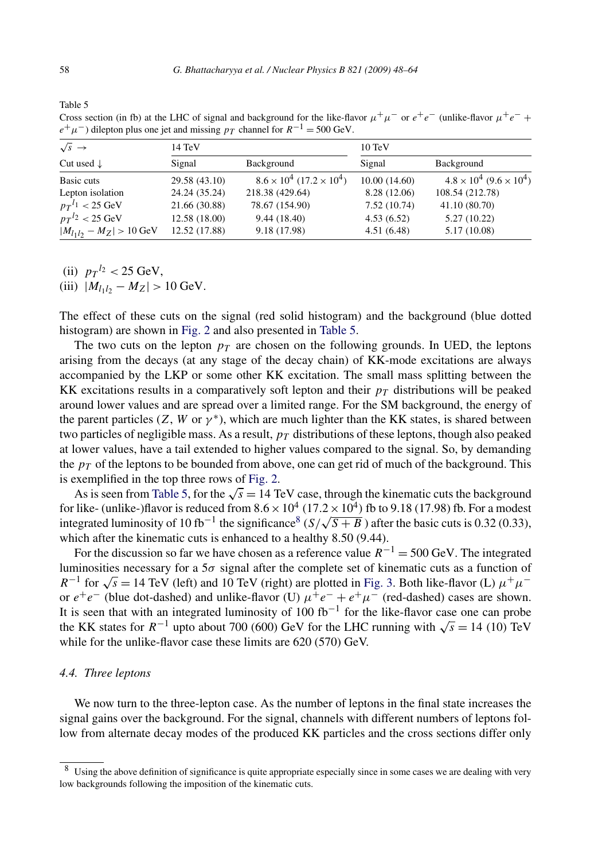<span id="page-10-0"></span>Cross section (in fb) at the LHC of signal and background for the like-flavor  $\mu^+\mu^-$  or  $e^+e^-$  (unlike-flavor  $\mu^+e^-$  +  $e^+ \mu^-$ ) dilepton plus one jet and missing *p<sub>T</sub>* channel for  $R^{-1} = 500$  GeV.

| $\sqrt{s} \rightarrow$                | 14 TeV        |                                         | $10 \text{ TeV}$ |                                        |  |
|---------------------------------------|---------------|-----------------------------------------|------------------|----------------------------------------|--|
| Cut used $\downarrow$                 | Signal        | Background                              | Signal           | Background                             |  |
| Basic cuts                            | 29.58 (43.10) | $8.6 \times 10^4$ (17.2 $\times 10^4$ ) | 10.00(14.60)     | $4.8 \times 10^4$ (9.6 $\times 10^4$ ) |  |
| Lepton isolation                      | 24.24 (35.24) | 218.38 (429.64)                         | 8.28 (12.06)     | 108.54 (212.78)                        |  |
| $p_T{}^{l_1}$ < 25 GeV                | 21.66 (30.88) | 78.67 (154.90)                          | 7.52(10.74)      | 41.10 (80.70)                          |  |
| $p_T^{l_2}$ < 25 GeV                  | 12.58(18.00)  | 9.44(18.40)                             | 4.53(6.52)       | 5.27(10.22)                            |  |
| $ M_{l_1l_2} - M_Z  > 10 \text{ GeV}$ | 12.52 (17.88) | 9.18 (17.98)                            | 4.51(6.48)       | 5.17 (10.08)                           |  |

(ii)  $p_T^{l_2} < 25 \text{ GeV},$ 

(iii)  $|M_{l_1l_2} - M_Z| > 10$  GeV.

The effect of these cuts on the signal (red solid histogram) and the background (blue dotted histogram) are shown in [Fig. 2](#page-11-0) and also presented in Table 5.

The two cuts on the lepton  $p<sub>T</sub>$  are chosen on the following grounds. In UED, the leptons arising from the decays (at any stage of the decay chain) of KK-mode excitations are always accompanied by the LKP or some other KK excitation. The small mass splitting between the KK excitations results in a comparatively soft lepton and their  $p<sub>T</sub>$  distributions will be peaked around lower values and are spread over a limited range. For the SM background, the energy of the parent particles (*Z*, *W* or  $\gamma$ <sup>\*</sup>), which are much lighter than the KK states, is shared between two particles of negligible mass. As a result, *pT* distributions of these leptons, though also peaked at lower values, have a tail extended to higher values compared to the signal. So, by demanding the  $p_T$  of the leptons to be bounded from above, one can get rid of much of the background. This is exemplified in the top three rows of [Fig. 2.](#page-11-0)

As is seen from Table 5, for the  $\sqrt{s} = 14$  TeV case, through the kinematic cuts the background for like- (unlike-)flavor is reduced from  $8.6 \times 10^4$   $(17.2 \times 10^4)$  fb to 9.18 (17.98) fb. For a modest integrated luminosity of 10 fb<sup>-1</sup> the significance<sup>8</sup> ( $S/\sqrt{S+B}$ ) after the basic cuts is 0.32 (0.33), which after the kinematic cuts is enhanced to a healthy 8.50 (9.44).

For the discussion so far we have chosen as a reference value *R*−<sup>1</sup> = 500 GeV. The integrated luminosities necessary for a 5*σ* signal after the complete set of kinematic cuts as a function of  $R^{-1}$  for  $\sqrt{s}$  = 14 TeV (left) and 10 TeV (right) are plotted in [Fig. 3.](#page-12-0) Both like-flavor (L)  $\mu^+\mu^$ or  $e^+e^-$  (blue dot-dashed) and unlike-flavor (U)  $\mu^+e^- + e^+ \mu^-$  (red-dashed) cases are shown. It is seen that with an integrated luminosity of 100 fb<sup>-1</sup> for the like-flavor case one can probe the KK states for  $R^{-1}$  upto about 700 (600) GeV for the LHC running with  $\sqrt{s} = 14$  (10) TeV while for the unlike-flavor case these limits are 620 (570) GeV.

## *4.4. Three leptons*

We now turn to the three-lepton case. As the number of leptons in the final state increases the signal gains over the background. For the signal, channels with different numbers of leptons follow from alternate decay modes of the produced KK particles and the cross sections differ only

<sup>&</sup>lt;sup>8</sup> Using the above definition of significance is quite appropriate especially since in some cases we are dealing with very low backgrounds following the imposition of the kinematic cuts.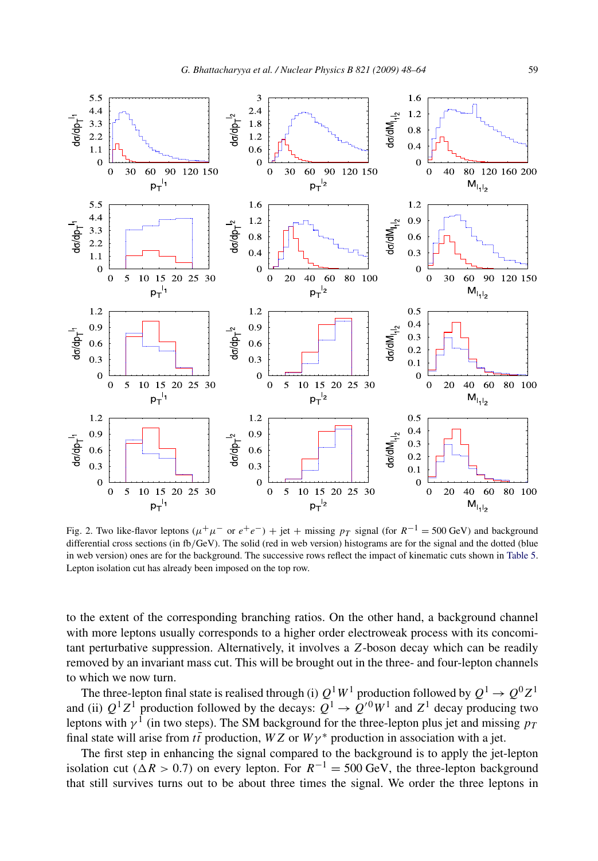<span id="page-11-0"></span>

Fig. 2. Two like-flavor leptons ( $\mu^+\mu^-$  or  $e^+e^-$ ) + jet + missing  $p_T$  signal (for  $R^{-1} = 500$  GeV) and background differential cross sections (in fb*/*GeV). The solid (red in web version) histograms are for the signal and the dotted (blue in web version) ones are for the background. The successive rows reflect the impact of kinematic cuts shown in [Table 5.](#page-10-0) Lepton isolation cut has already been imposed on the top row.

to the extent of the corresponding branching ratios. On the other hand, a background channel with more leptons usually corresponds to a higher order electroweak process with its concomitant perturbative suppression. Alternatively, it involves a *Z*-boson decay which can be readily removed by an invariant mass cut. This will be brought out in the three- and four-lepton channels to which we now turn.

The three-lepton final state is realised through (i)  $Q^1W^1$  production followed by  $Q^1 \rightarrow Q^0Z^1$ and (ii)  $Q^1Z^1$  production followed by the decays:  $Q^1 \rightarrow Q'^0W^1$  and  $Z^1$  decay producing two leptons with  $\gamma^1$  (in two steps). The SM background for the three-lepton plus jet and missing  $p_T$ final state will arise from  $t\bar{t}$  production,  $WZ$  or  $W\gamma^*$  production in association with a jet.

The first step in enhancing the signal compared to the background is to apply the jet-lepton isolation cut ( $\Delta R > 0.7$ ) on every lepton. For  $R^{-1} = 500$  GeV, the three-lepton background that still survives turns out to be about three times the signal. We order the three leptons in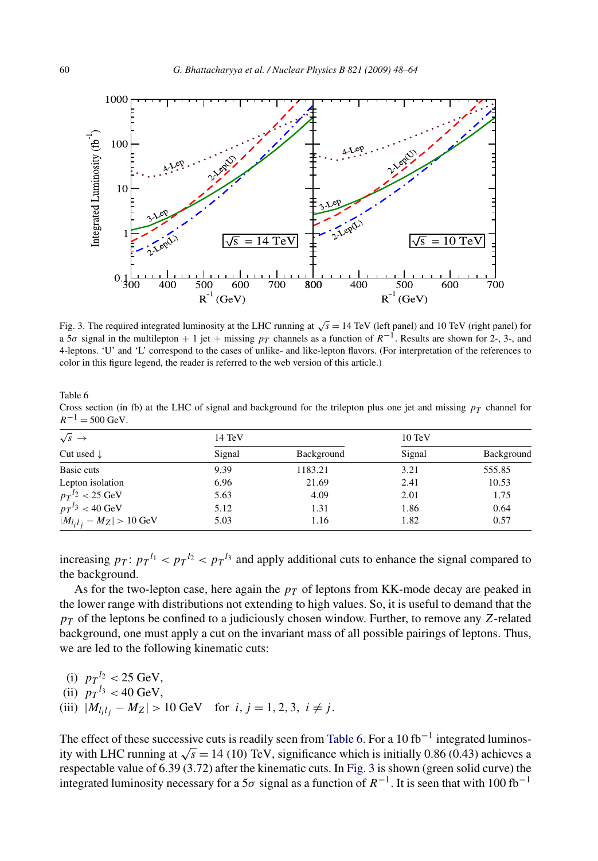<span id="page-12-0"></span>

Fig. 3. The required integrated luminosity at the LHC running at <sup>√</sup>*<sup>s</sup>* <sup>=</sup> 14 TeV (left panel) and 10 TeV (right panel) for a 5*σ* signal in the multilepton + 1 jet + missing  $p_T$  channels as a function of  $R^{-1}$ . Results are shown for 2-, 3-, and 4-leptons. 'U' and 'L' correspond to the cases of unlike- and like-lepton flavors. (For interpretation of the references to color in this figure legend, the reader is referred to the web version of this article.)

Cross section (in fb) at the LHC of signal and background for the trilepton plus one jet and missing  $p<sub>T</sub>$  channel for  $R^{-1}$  = 500 GeV.

| $\sqrt{s} \rightarrow$                 | 14 TeV |            | $10 \text{ TeV}$ |            |  |
|----------------------------------------|--------|------------|------------------|------------|--|
| Cut used $\downarrow$                  | Signal | Background | Signal           | Background |  |
| Basic cuts                             | 9.39   | 1183.21    | 3.21             | 555.85     |  |
| Lepton isolation                       | 6.96   | 21.69      | 2.41             | 10.53      |  |
| $p_T^{l_2}$ < 25 GeV                   | 5.63   | 4.09       | 2.01             | 1.75       |  |
| $p_T^{l_3}$ < 40 GeV                   | 5.12   | 1.31       | 1.86             | 0.64       |  |
| $ M_{l_i l_j} - M_Z  > 10 \text{ GeV}$ | 5.03   | 1.16       | 1.82             | 0.57       |  |

increasing  $p_T: p_T^{l_1} < p_T^{l_2} < p_T^{l_3}$  and apply additional cuts to enhance the signal compared to the background.

As for the two-lepton case, here again the  $p<sub>T</sub>$  of leptons from KK-mode decay are peaked in the lower range with distributions not extending to high values. So, it is useful to demand that the *pT* of the leptons be confined to a judiciously chosen window. Further, to remove any *Z*-related background, one must apply a cut on the invariant mass of all possible pairings of leptons. Thus, we are led to the following kinematic cuts:

(i)  $p_T^{l_2} < 25 \text{ GeV},$ (ii)  $p_T^{l_3} < 40 \text{ GeV},$ (iii)  $|M_{l_i l_j} - M_Z| > 10 \text{ GeV}$  for *i*, *j* = 1, 2, 3, *i*  $\neq j$ .

The effect of these successive cuts is readily seen from Table 6. For a 10 fb<sup>-1</sup> integrated luminosity with LHC running at  $\sqrt{s}$  = 14 (10) TeV, significance which is initially 0.86 (0.43) achieves a respectable value of 6.39 (3.72) after the kinematic cuts. In Fig. 3 is shown (green solid curve) the integrated luminosity necessary for a 5*σ* signal as a function of *R*<sup>−</sup>1. It is seen that with 100 fb<sup>−</sup><sup>1</sup>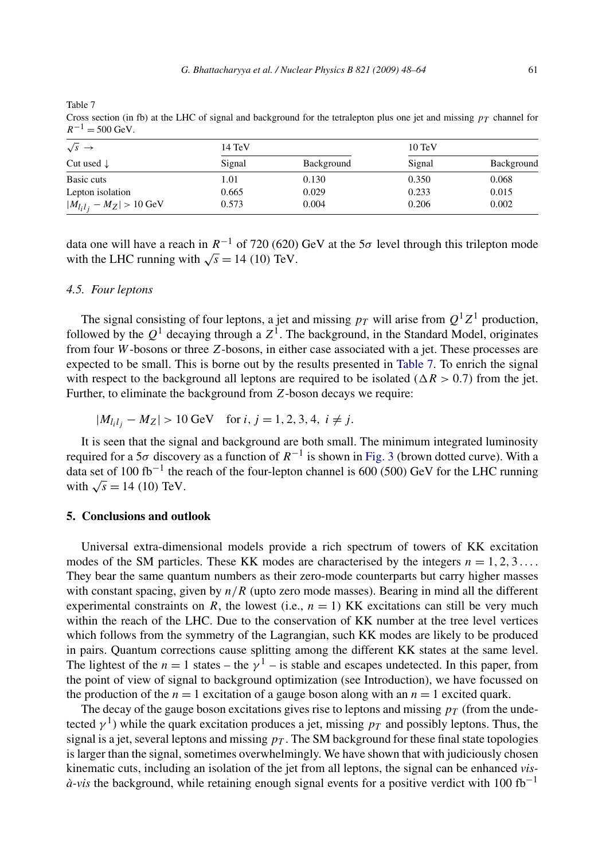| $\sqrt{s} \rightarrow$                 | $14 \text{ TeV}$ |            | $10 \text{ TeV}$ |            |  |
|----------------------------------------|------------------|------------|------------------|------------|--|
| Cut used $\downarrow$                  | Signal           | Background | Signal           | Background |  |
| Basic cuts                             | 1.01             | 0.130      | 0.350            | 0.068      |  |
| Lepton isolation                       | 0.665            | 0.029      | 0.233            | 0.015      |  |
| $ M_{l_i l_j} - M_Z  > 10 \text{ GeV}$ | 0.573            | 0.004      | 0.206            | 0.002      |  |

Cross section (in fb) at the LHC of signal and background for the tetralepton plus one jet and missing  $p_T$  channel for  $R^{-1}$  = 500 GeV.

data one will have a reach in  $R^{-1}$  of 720 (620) GeV at the 5 $\sigma$  level through this trilepton mode with the LHC running with  $\sqrt{s} = 14$  (10) TeV.

### *4.5. Four leptons*

The signal consisting of four leptons, a jet and missing  $p_T$  will arise from  $Q^1Z^1$  production, followed by the  $Q^1$  decaying through a  $Z^1$ . The background, in the Standard Model, originates from four *W*-bosons or three *Z*-bosons, in either case associated with a jet. These processes are expected to be small. This is borne out by the results presented in Table 7. To enrich the signal with respect to the background all leptons are required to be isolated ( $\Delta R > 0.7$ ) from the jet. Further, to eliminate the background from *Z*-boson decays we require:

 $|M_{i,j} - M_Z| > 10$  GeV for *i*,  $j = 1, 2, 3, 4$ ,  $i \neq j$ .

It is seen that the signal and background are both small. The minimum integrated luminosity required for a 5*σ* discovery as a function of  $R^{-1}$  is shown in [Fig. 3](#page-12-0) (brown dotted curve). With a data set of 100 fb<sup>-1</sup> the reach of the four-lepton channel is 600 (500) GeV for the LHC running with  $\sqrt{s} = 14 (10) \text{ TeV}$ .

# **5. Conclusions and outlook**

Universal extra-dimensional models provide a rich spectrum of towers of KK excitation modes of the SM particles. These KK modes are characterised by the integers  $n = 1, 2, 3...$ They bear the same quantum numbers as their zero-mode counterparts but carry higher masses with constant spacing, given by  $n/R$  (upto zero mode masses). Bearing in mind all the different experimental constraints on *R*, the lowest (i.e.,  $n = 1$ ) KK excitations can still be very much within the reach of the LHC. Due to the conservation of KK number at the tree level vertices which follows from the symmetry of the Lagrangian, such KK modes are likely to be produced in pairs. Quantum corrections cause splitting among the different KK states at the same level. The lightest of the *n* = 1 states – the  $\gamma^1$  – is stable and escapes undetected. In this paper, from the point of view of signal to background optimization (see Introduction), we have focussed on the production of the  $n = 1$  excitation of a gauge boson along with an  $n = 1$  excited quark.

The decay of the gauge boson excitations gives rise to leptons and missing  $p<sub>T</sub>$  (from the undetected  $\gamma^1$ ) while the quark excitation produces a jet, missing  $p_T$  and possibly leptons. Thus, the signal is a jet, several leptons and missing  $p<sub>T</sub>$ . The SM background for these final state topologies is larger than the signal, sometimes overwhelmingly. We have shown that with judiciously chosen kinematic cuts, including an isolation of the jet from all leptons, the signal can be enhanced *visà-vis* the background, while retaining enough signal events for a positive verdict with 100 fb<sup>-1</sup>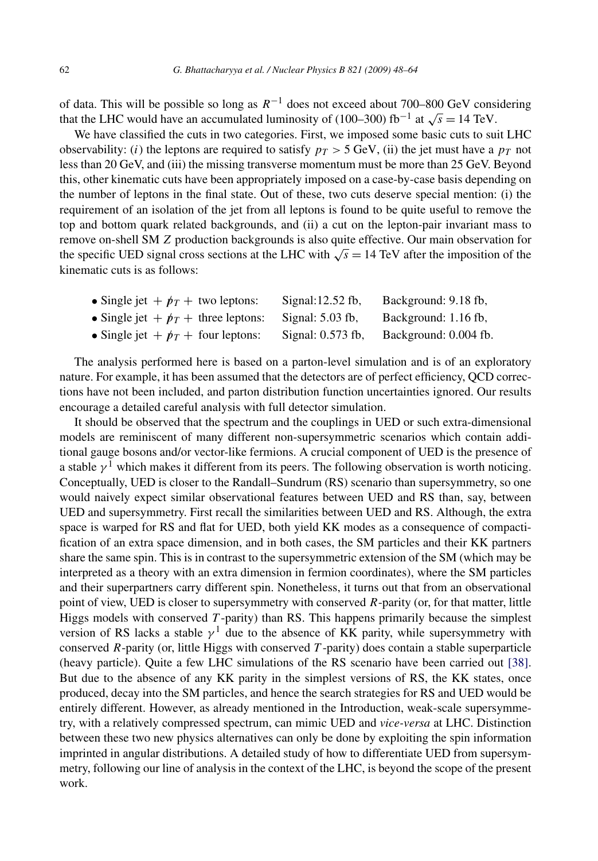of data. This will be possible so long as *R*−<sup>1</sup> does not exceed about 700–800 GeV considering that the LHC would have an accumulated luminosity of (100–300) fb<sup>-1</sup> at  $\sqrt{s} = 14$  TeV.

We have classified the cuts in two categories. First, we imposed some basic cuts to suit LHC observability: (*i*) the leptons are required to satisfy  $p_T > 5$  GeV, (ii) the jet must have a  $p_T$  not less than 20 GeV, and (iii) the missing transverse momentum must be more than 25 GeV. Beyond this, other kinematic cuts have been appropriately imposed on a case-by-case basis depending on the number of leptons in the final state. Out of these, two cuts deserve special mention: (i) the requirement of an isolation of the jet from all leptons is found to be quite useful to remove the top and bottom quark related backgrounds, and (ii) a cut on the lepton-pair invariant mass to remove on-shell SM *Z* production backgrounds is also quite effective. Our main observation for the specific UED signal cross sections at the LHC with  $\sqrt{s} = 14$  TeV after the imposition of the kinematic cuts is as follows:

| • Single jet $+ p_T +$ two leptons:   | Signal: $12.52$ fb, | Background: 9.18 fb,  |
|---------------------------------------|---------------------|-----------------------|
| • Single jet $+ p_T +$ three leptons: | Signal: $5.03$ fb,  | Background: 1.16 fb.  |
| • Single jet $+ p_T +$ four leptons:  | Signal: $0.573$ fb. | Background: 0.004 fb. |

The analysis performed here is based on a parton-level simulation and is of an exploratory nature. For example, it has been assumed that the detectors are of perfect efficiency, QCD corrections have not been included, and parton distribution function uncertainties ignored. Our results encourage a detailed careful analysis with full detector simulation.

It should be observed that the spectrum and the couplings in UED or such extra-dimensional models are reminiscent of many different non-supersymmetric scenarios which contain additional gauge bosons and/or vector-like fermions. A crucial component of UED is the presence of a stable  $\gamma^{\bar{1}}$  which makes it different from its peers. The following observation is worth noticing. Conceptually, UED is closer to the Randall–Sundrum (RS) scenario than supersymmetry, so one would naively expect similar observational features between UED and RS than, say, between UED and supersymmetry. First recall the similarities between UED and RS. Although, the extra space is warped for RS and flat for UED, both yield KK modes as a consequence of compactification of an extra space dimension, and in both cases, the SM particles and their KK partners share the same spin. This is in contrast to the supersymmetric extension of the SM (which may be interpreted as a theory with an extra dimension in fermion coordinates), where the SM particles and their superpartners carry different spin. Nonetheless, it turns out that from an observational point of view, UED is closer to supersymmetry with conserved *R*-parity (or, for that matter, little Higgs models with conserved *T* -parity) than RS. This happens primarily because the simplest version of RS lacks a stable  $\gamma^1$  due to the absence of KK parity, while supersymmetry with conserved *R*-parity (or, little Higgs with conserved *T* -parity) does contain a stable superparticle (heavy particle). Quite a few LHC simulations of the RS scenario have been carried out [\[38\].](#page-16-0) But due to the absence of any KK parity in the simplest versions of RS, the KK states, once produced, decay into the SM particles, and hence the search strategies for RS and UED would be entirely different. However, as already mentioned in the Introduction, weak-scale supersymmetry, with a relatively compressed spectrum, can mimic UED and *vice-versa* at LHC. Distinction between these two new physics alternatives can only be done by exploiting the spin information imprinted in angular distributions. A detailed study of how to differentiate UED from supersymmetry, following our line of analysis in the context of the LHC, is beyond the scope of the present work.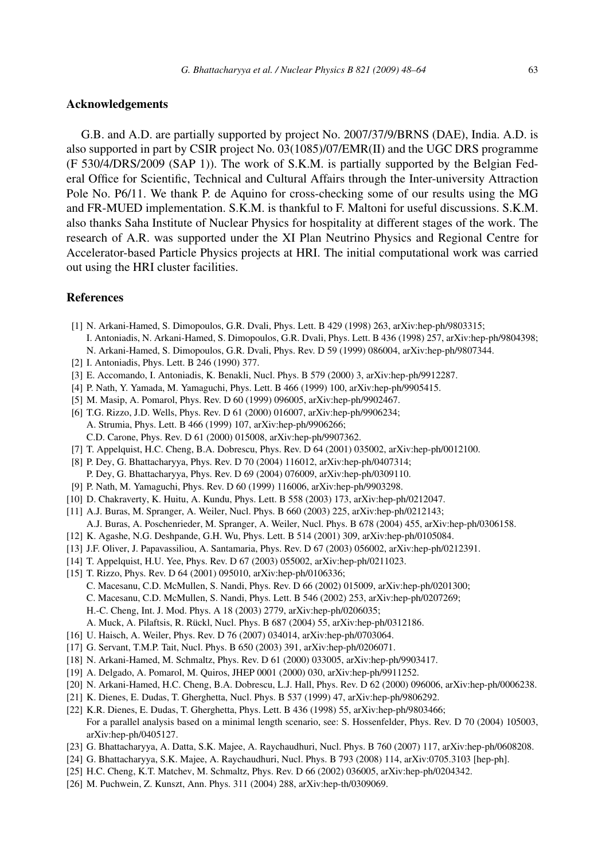#### <span id="page-15-0"></span>**Acknowledgements**

G.B. and A.D. are partially supported by project No. 2007/37/9/BRNS (DAE), India. A.D. is also supported in part by CSIR project No. 03(1085)/07/EMR(II) and the UGC DRS programme (F 530/4/DRS/2009 (SAP 1)). The work of S.K.M. is partially supported by the Belgian Federal Office for Scientific, Technical and Cultural Affairs through the Inter-university Attraction Pole No. P6/11. We thank P. de Aquino for cross-checking some of our results using the MG and FR-MUED implementation. S.K.M. is thankful to F. Maltoni for useful discussions. S.K.M. also thanks Saha Institute of Nuclear Physics for hospitality at different stages of the work. The research of A.R. was supported under the XI Plan Neutrino Physics and Regional Centre for Accelerator-based Particle Physics projects at HRI. The initial computational work was carried out using the HRI cluster facilities.

## **References**

- [1] N. Arkani-Hamed, S. Dimopoulos, G.R. Dvali, Phys. Lett. B 429 (1998) 263, arXiv:hep-ph/9803315; I. Antoniadis, N. Arkani-Hamed, S. Dimopoulos, G.R. Dvali, Phys. Lett. B 436 (1998) 257, arXiv:hep-ph/9804398; N. Arkani-Hamed, S. Dimopoulos, G.R. Dvali, Phys. Rev. D 59 (1999) 086004, arXiv:hep-ph/9807344.
- [2] I. Antoniadis, Phys. Lett. B 246 (1990) 377.
- [3] E. Accomando, I. Antoniadis, K. Benakli, Nucl. Phys. B 579 (2000) 3, arXiv:hep-ph/9912287.
- [4] P. Nath, Y. Yamada, M. Yamaguchi, Phys. Lett. B 466 (1999) 100, arXiv:hep-ph/9905415.
- [5] M. Masip, A. Pomarol, Phys. Rev. D 60 (1999) 096005, arXiv:hep-ph/9902467.
- [6] T.G. Rizzo, J.D. Wells, Phys. Rev. D 61 (2000) 016007, arXiv:hep-ph/9906234; A. Strumia, Phys. Lett. B 466 (1999) 107, arXiv:hep-ph/9906266; C.D. Carone, Phys. Rev. D 61 (2000) 015008, arXiv:hep-ph/9907362.
- [7] T. Appelquist, H.C. Cheng, B.A. Dobrescu, Phys. Rev. D 64 (2001) 035002, arXiv:hep-ph/0012100.
- [8] P. Dey, G. Bhattacharyya, Phys. Rev. D 70 (2004) 116012, arXiv:hep-ph/0407314; P. Dey, G. Bhattacharyya, Phys. Rev. D 69 (2004) 076009, arXiv:hep-ph/0309110.
- [9] P. Nath, M. Yamaguchi, Phys. Rev. D 60 (1999) 116006, arXiv:hep-ph/9903298.
- [10] D. Chakraverty, K. Huitu, A. Kundu, Phys. Lett. B 558 (2003) 173, arXiv:hep-ph/0212047.
- [11] A.J. Buras, M. Spranger, A. Weiler, Nucl. Phys. B 660 (2003) 225, arXiv:hep-ph/0212143; A.J. Buras, A. Poschenrieder, M. Spranger, A. Weiler, Nucl. Phys. B 678 (2004) 455, arXiv:hep-ph/0306158.
- [12] K. Agashe, N.G. Deshpande, G.H. Wu, Phys. Lett. B 514 (2001) 309, arXiv:hep-ph/0105084.
- [13] J.F. Oliver, J. Papavassiliou, A. Santamaria, Phys. Rev. D 67 (2003) 056002, arXiv:hep-ph/0212391.
- [14] T. Appelquist, H.U. Yee, Phys. Rev. D 67 (2003) 055002, arXiv:hep-ph/0211023.
- [15] T. Rizzo, Phys. Rev. D 64 (2001) 095010, arXiv:hep-ph/0106336; C. Macesanu, C.D. McMullen, S. Nandi, Phys. Rev. D 66 (2002) 015009, arXiv:hep-ph/0201300; C. Macesanu, C.D. McMullen, S. Nandi, Phys. Lett. B 546 (2002) 253, arXiv:hep-ph/0207269; H.-C. Cheng, Int. J. Mod. Phys. A 18 (2003) 2779, arXiv:hep-ph/0206035; A. Muck, A. Pilaftsis, R. Rückl, Nucl. Phys. B 687 (2004) 55, arXiv:hep-ph/0312186.
- [16] U. Haisch, A. Weiler, Phys. Rev. D 76 (2007) 034014, arXiv:hep-ph/0703064.
- [17] G. Servant, T.M.P. Tait, Nucl. Phys. B 650 (2003) 391, arXiv:hep-ph/0206071.
- [18] N. Arkani-Hamed, M. Schmaltz, Phys. Rev. D 61 (2000) 033005, arXiv:hep-ph/9903417.
- [19] A. Delgado, A. Pomarol, M. Quiros, JHEP 0001 (2000) 030, arXiv:hep-ph/9911252.
- [20] N. Arkani-Hamed, H.C. Cheng, B.A. Dobrescu, L.J. Hall, Phys. Rev. D 62 (2000) 096006, arXiv:hep-ph/0006238.
- [21] K. Dienes, E. Dudas, T. Gherghetta, Nucl. Phys. B 537 (1999) 47, arXiv:hep-ph/9806292.
- [22] K.R. Dienes, E. Dudas, T. Gherghetta, Phys. Lett. B 436 (1998) 55, arXiv:hep-ph/9803466; For a parallel analysis based on a minimal length scenario, see: S. Hossenfelder, Phys. Rev. D 70 (2004) 105003, arXiv:hep-ph/0405127.
- [23] G. Bhattacharyya, A. Datta, S.K. Majee, A. Raychaudhuri, Nucl. Phys. B 760 (2007) 117, arXiv:hep-ph/0608208.
- [24] G. Bhattacharyya, S.K. Majee, A. Raychaudhuri, Nucl. Phys. B 793 (2008) 114, arXiv:0705.3103 [hep-ph].
- [25] H.C. Cheng, K.T. Matchev, M. Schmaltz, Phys. Rev. D 66 (2002) 036005, arXiv:hep-ph/0204342.
- [26] M. Puchwein, Z. Kunszt, Ann. Phys. 311 (2004) 288, arXiv:hep-th/0309069.